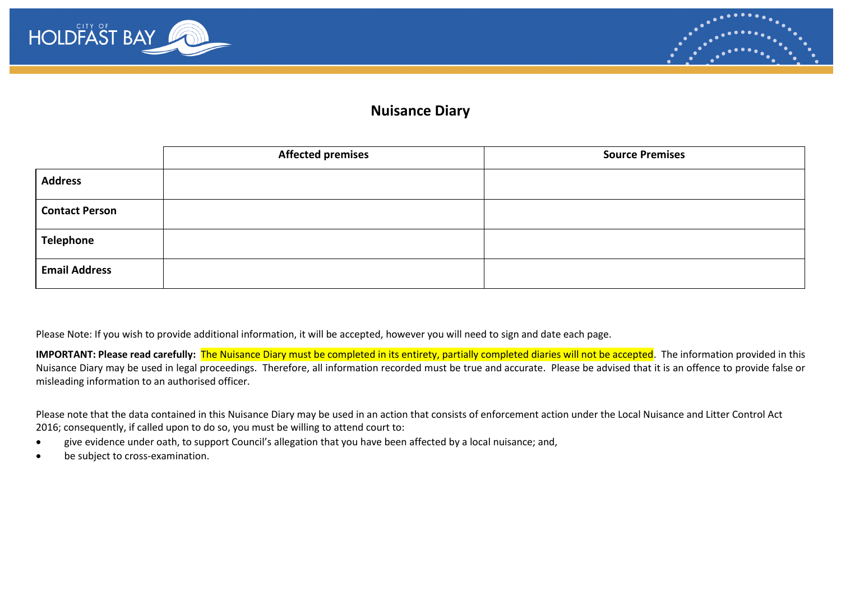



## **Nuisance Diary**

|                       | <b>Affected premises</b> | <b>Source Premises</b> |
|-----------------------|--------------------------|------------------------|
| <b>Address</b>        |                          |                        |
| <b>Contact Person</b> |                          |                        |
| Telephone             |                          |                        |
| <b>Email Address</b>  |                          |                        |

Please Note: If you wish to provide additional information, it will be accepted, however you will need to sign and date each page.

**IMPORTANT: Please read carefully:** The Nuisance Diary must be completed in its entirety, partially completed diaries will not be accepted. The information provided in this Nuisance Diary may be used in legal proceedings. Therefore, all information recorded must be true and accurate. Please be advised that it is an offence to provide false or misleading information to an authorised officer.

Please note that the data contained in this Nuisance Diary may be used in an action that consists of enforcement action under the Local Nuisance and Litter Control Act 2016; consequently, if called upon to do so, you must be willing to attend court to:

- give evidence under oath, to support Council's allegation that you have been affected by a local nuisance; and,
- be subject to cross-examination.